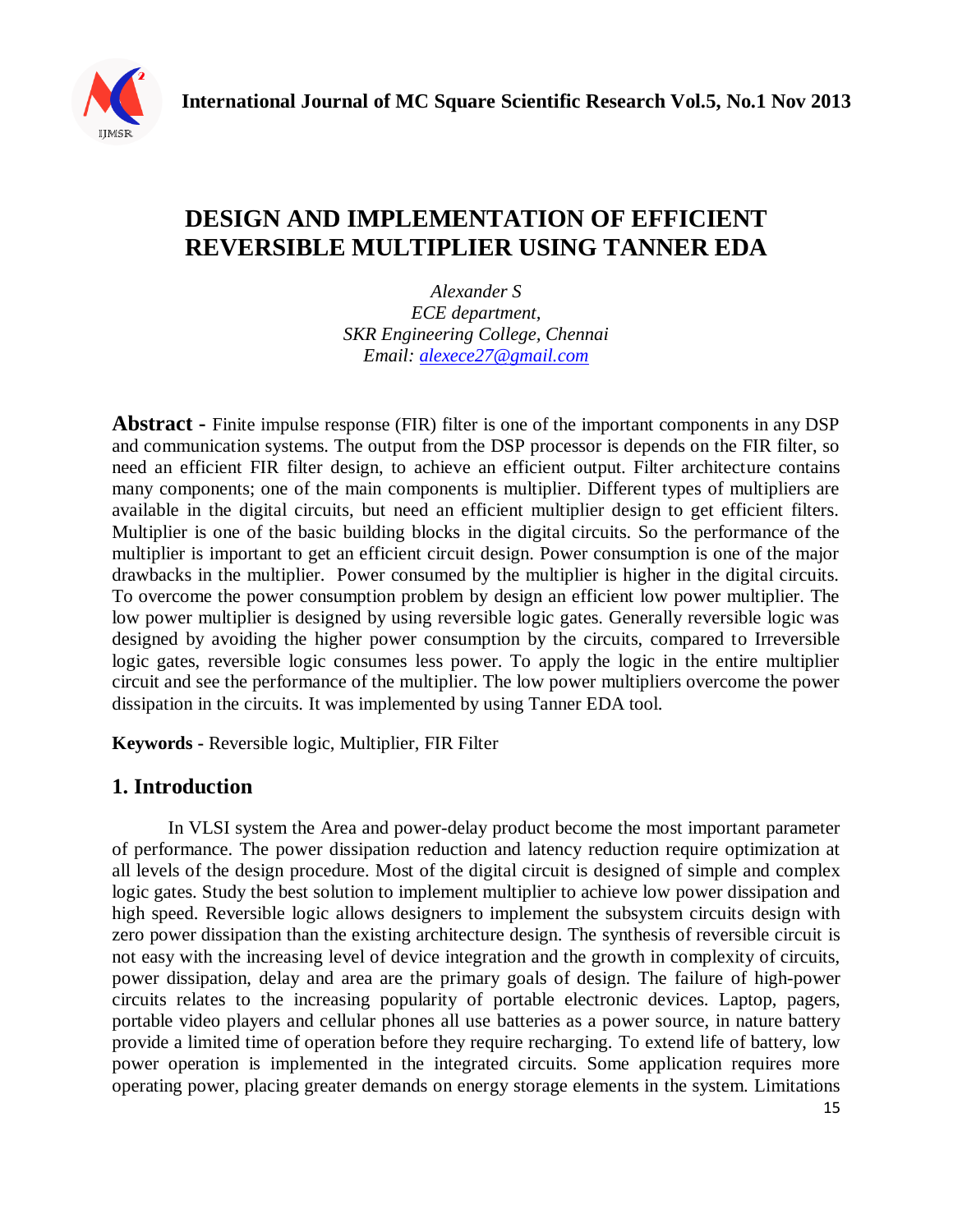

# **DESIGN AND IMPLEMENTATION OF EFFICIENT REVERSIBLE MULTIPLIER USING TANNER EDA**

*Alexander S ECE department, SKR Engineering College, Chennai Email: [alexece27@gmail.com](mailto:alexece27@gmail.com)*

**Abstract -** Finite impulse response (FIR) filter is one of the important components in any DSP and communication systems. The output from the DSP processor is depends on the FIR filter, so need an efficient FIR filter design, to achieve an efficient output. Filter architecture contains many components; one of the main components is multiplier. Different types of multipliers are available in the digital circuits, but need an efficient multiplier design to get efficient filters. Multiplier is one of the basic building blocks in the digital circuits. So the performance of the multiplier is important to get an efficient circuit design. Power consumption is one of the major drawbacks in the multiplier. Power consumed by the multiplier is higher in the digital circuits. To overcome the power consumption problem by design an efficient low power multiplier. The low power multiplier is designed by using reversible logic gates. Generally reversible logic was designed by avoiding the higher power consumption by the circuits, compared to Irreversible logic gates, reversible logic consumes less power. To apply the logic in the entire multiplier circuit and see the performance of the multiplier. The low power multipliers overcome the power dissipation in the circuits. It was implemented by using Tanner EDA tool.

**Keywords -** Reversible logic, Multiplier, FIR Filter

### **1. Introduction**

In VLSI system the Area and power-delay product become the most important parameter of performance. The power dissipation reduction and latency reduction require optimization at all levels of the design procedure. Most of the digital circuit is designed of simple and complex logic gates. Study the best solution to implement multiplier to achieve low power dissipation and high speed. Reversible logic allows designers to implement the subsystem circuits design with zero power dissipation than the existing architecture design. The synthesis of reversible circuit is not easy with the increasing level of device integration and the growth in complexity of circuits, power dissipation, delay and area are the primary goals of design. The failure of high-power circuits relates to the increasing popularity of portable electronic devices. Laptop, pagers, portable video players and cellular phones all use batteries as a power source, in nature battery provide a limited time of operation before they require recharging. To extend life of battery, low power operation is implemented in the integrated circuits. Some application requires more operating power, placing greater demands on energy storage elements in the system. Limitations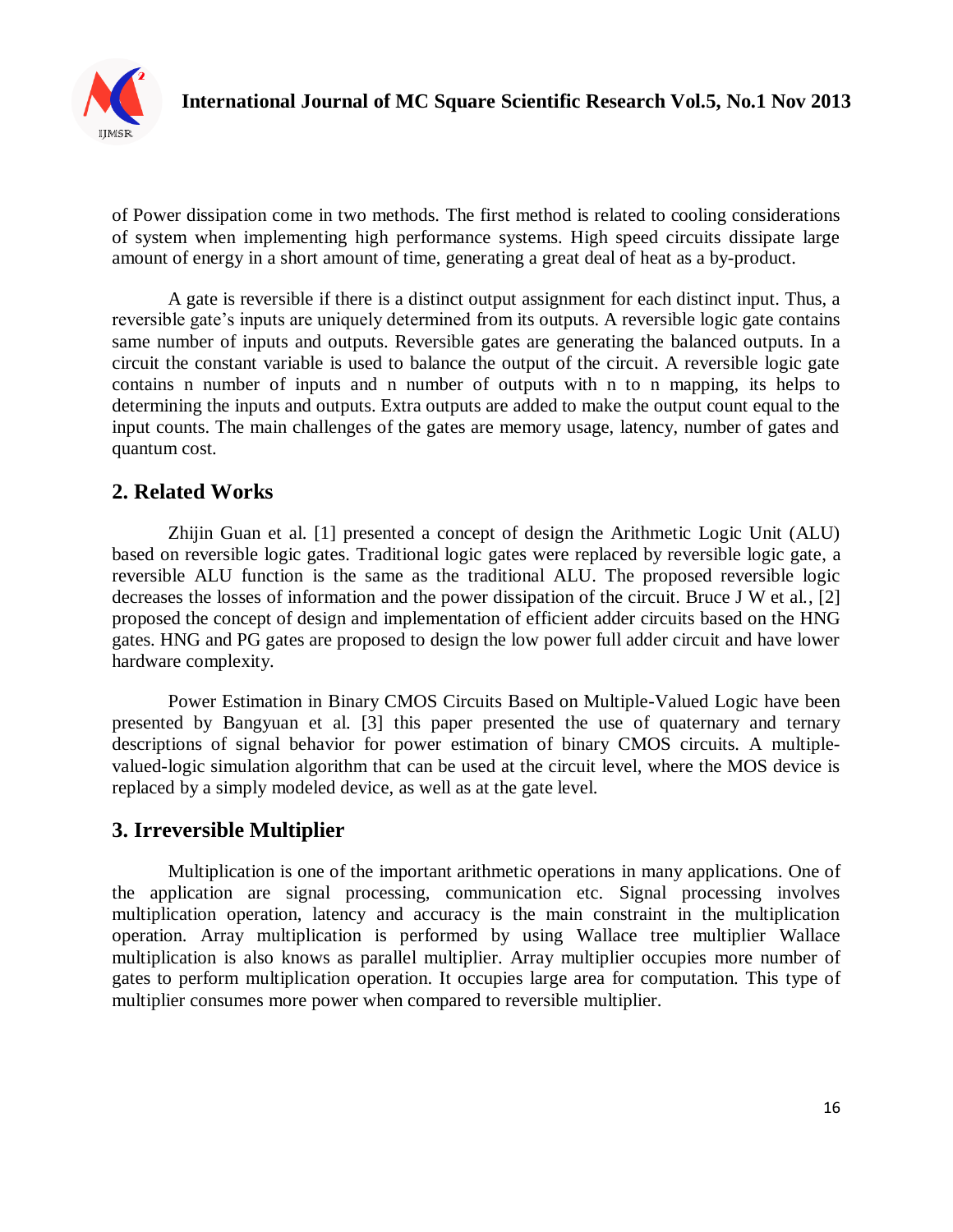

of Power dissipation come in two methods. The first method is related to cooling considerations of system when implementing high performance systems. High speed circuits dissipate large amount of energy in a short amount of time, generating a great deal of heat as a by-product.

A gate is reversible if there is a distinct output assignment for each distinct input. Thus, a reversible gate's inputs are uniquely determined from its outputs. A reversible logic gate contains same number of inputs and outputs. Reversible gates are generating the balanced outputs. In a circuit the constant variable is used to balance the output of the circuit. A reversible logic gate contains n number of inputs and n number of outputs with n to n mapping, its helps to determining the inputs and outputs. Extra outputs are added to make the output count equal to the input counts. The main challenges of the gates are memory usage, latency, number of gates and quantum cost.

## **2. Related Works**

Zhijin Guan et al. [1] presented a concept of design the Arithmetic Logic Unit (ALU) based on reversible logic gates. Traditional logic gates were replaced by reversible logic gate, a reversible ALU function is the same as the traditional ALU. The proposed reversible logic decreases the losses of information and the power dissipation of the circuit. Bruce J W et al., [2] proposed the concept of design and implementation of efficient adder circuits based on the HNG gates. HNG and PG gates are proposed to design the low power full adder circuit and have lower hardware complexity.

Power Estimation in Binary CMOS Circuits Based on Multiple-Valued Logic have been presented by Bangyuan et al. [3] this paper presented the use of quaternary and ternary descriptions of signal behavior for power estimation of binary CMOS circuits. A multiplevalued-logic simulation algorithm that can be used at the circuit level, where the MOS device is replaced by a simply modeled device, as well as at the gate level.

## **3. Irreversible Multiplier**

Multiplication is one of the important arithmetic operations in many applications. One of the application are signal processing, communication etc. Signal processing involves multiplication operation, latency and accuracy is the main constraint in the multiplication operation. Array multiplication is performed by using Wallace tree multiplier Wallace multiplication is also knows as parallel multiplier. Array multiplier occupies more number of gates to perform multiplication operation. It occupies large area for computation. This type of multiplier consumes more power when compared to reversible multiplier.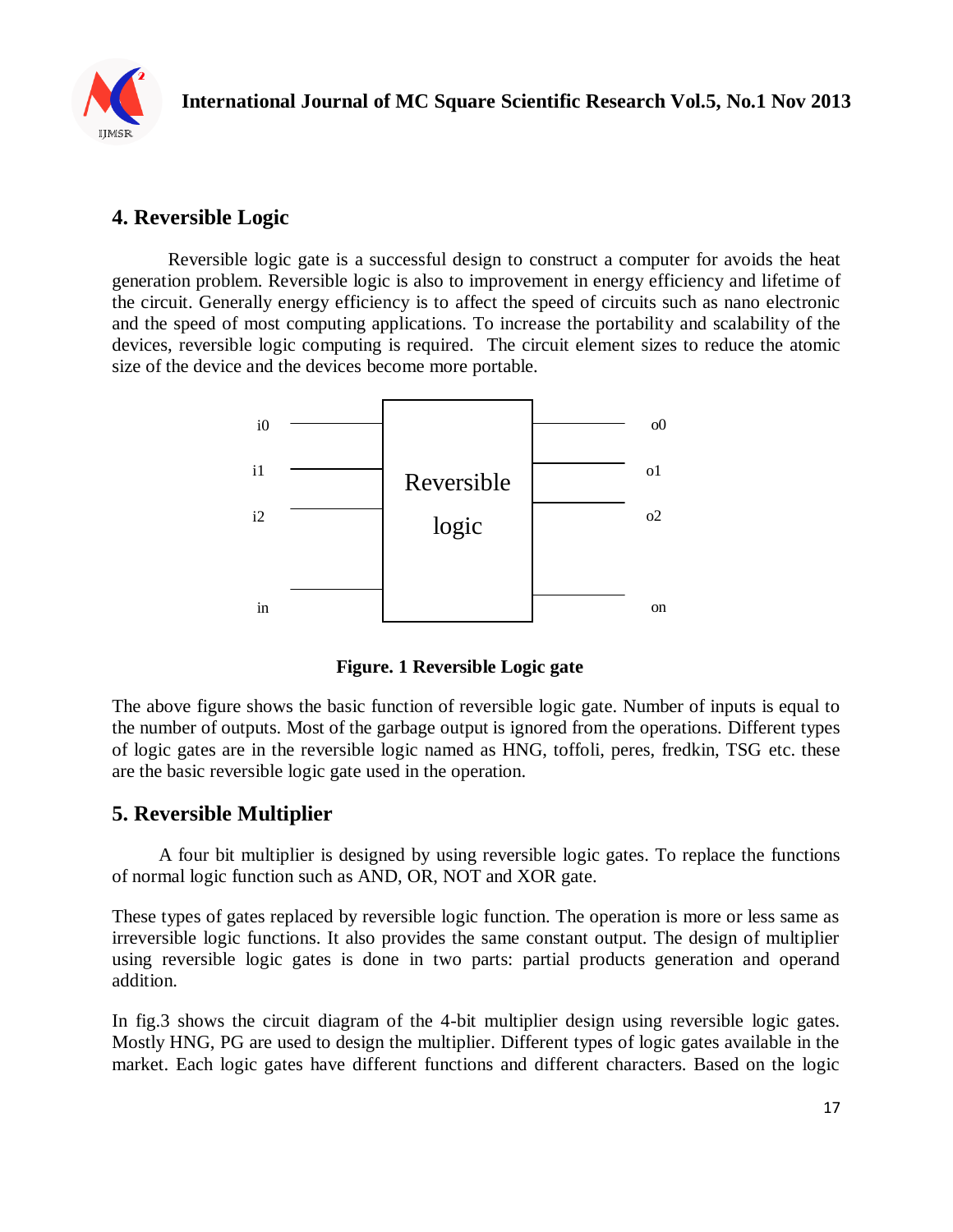

## **4. Reversible Logic**

Reversible logic gate is a successful design to construct a computer for avoids the heat generation problem. Reversible logic is also to improvement in energy efficiency and lifetime of the circuit. Generally energy efficiency is to affect the speed of circuits such as nano electronic and the speed of most computing applications. To increase the portability and scalability of the devices, reversible logic computing is required. The circuit element sizes to reduce the atomic size of the device and the devices become more portable.



**Figure. 1 Reversible Logic gate**

The above figure shows the basic function of reversible logic gate. Number of inputs is equal to the number of outputs. Most of the garbage output is ignored from the operations. Different types of logic gates are in the reversible logic named as HNG, toffoli, peres, fredkin, TSG etc. these are the basic reversible logic gate used in the operation.

## **5. Reversible Multiplier**

 A four bit multiplier is designed by using reversible logic gates. To replace the functions of normal logic function such as AND, OR, NOT and XOR gate.

These types of gates replaced by reversible logic function. The operation is more or less same as irreversible logic functions. It also provides the same constant output. The design of multiplier using reversible logic gates is done in two parts: partial products generation and operand addition.

In fig.3 shows the circuit diagram of the 4-bit multiplier design using reversible logic gates. Mostly HNG, PG are used to design the multiplier. Different types of logic gates available in the market. Each logic gates have different functions and different characters. Based on the logic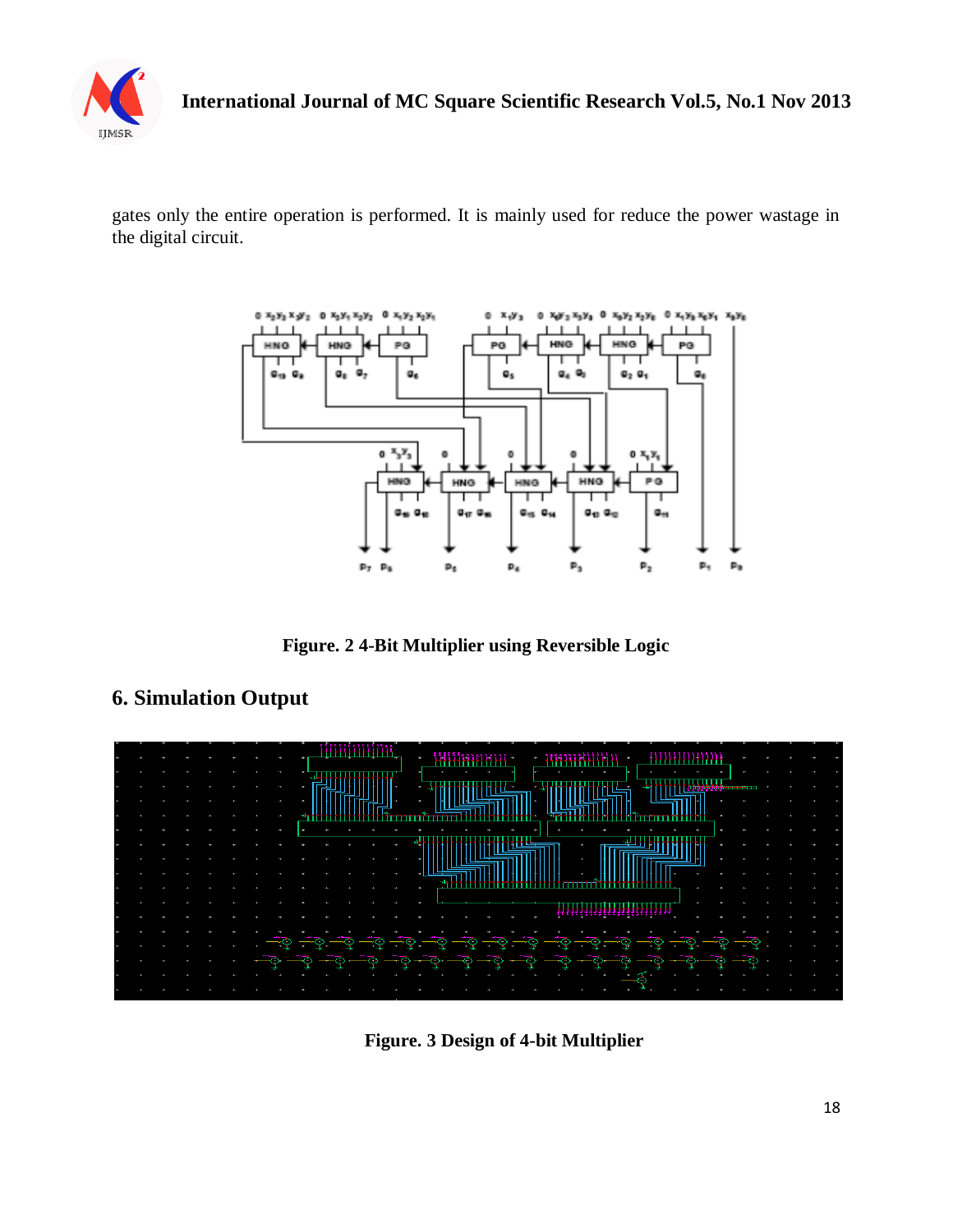

gates only the entire operation is performed. It is mainly used for reduce the power wastage in the digital circuit.



**Figure. 2 4-Bit Multiplier using Reversible Logic**

# mmmm ,,,,,,,,,,,,,,,,,,,,,

## **6. Simulation Output**

**Figure. 3 Design of 4-bit Multiplier**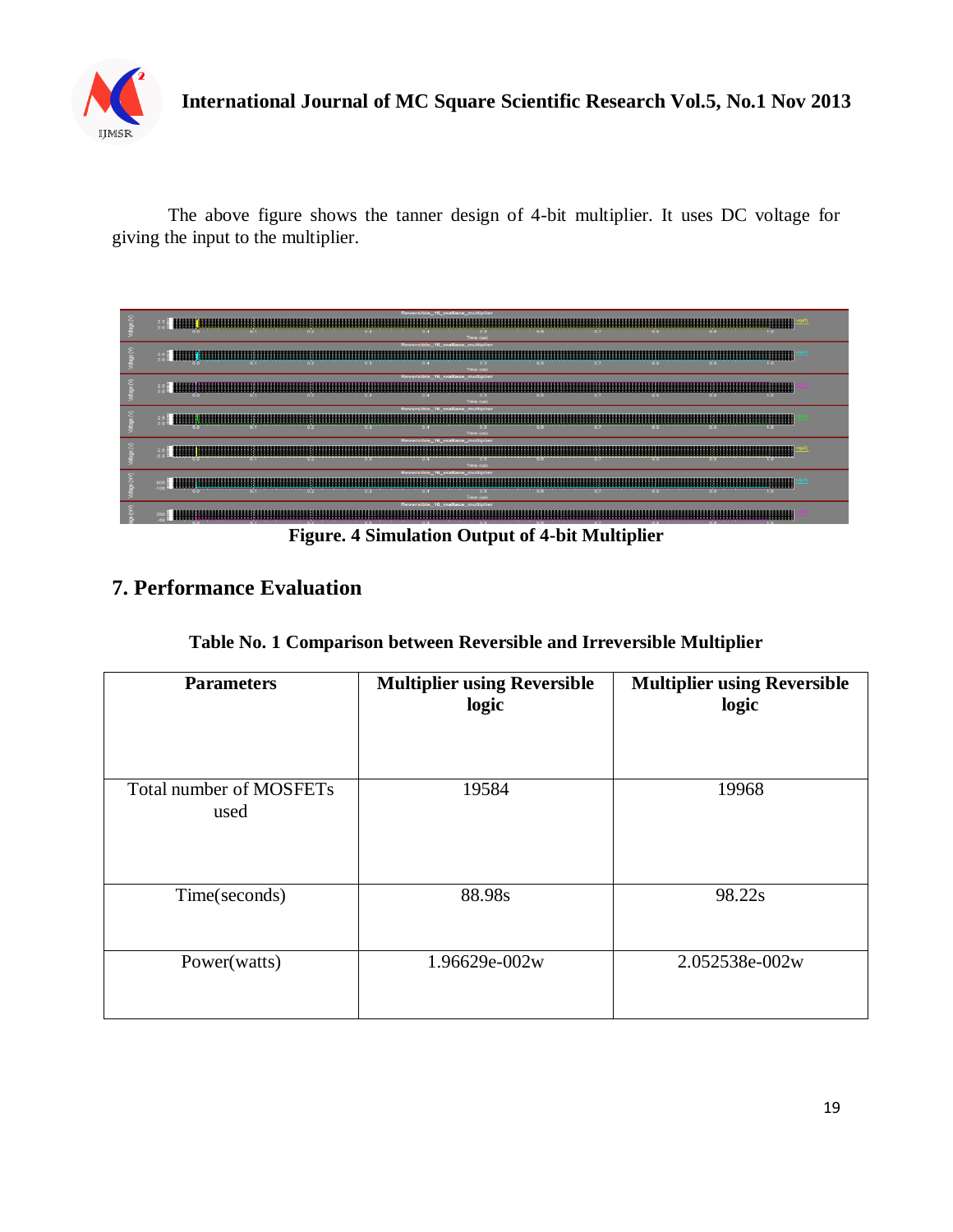

The above figure shows the tanner design of 4-bit multiplier. It uses DC voltage for giving the input to the multiplier.



## **7. Performance Evaluation**

|  | Table No. 1 Comparison between Reversible and Irreversible Multiplier |  |
|--|-----------------------------------------------------------------------|--|
|  |                                                                       |  |

| <b>Parameters</b>               | <b>Multiplier using Reversible</b><br>logic | <b>Multiplier using Reversible</b><br>logic |
|---------------------------------|---------------------------------------------|---------------------------------------------|
| Total number of MOSFETs<br>used | 19584                                       | 19968                                       |
| Time(seconds)                   | 88.98s                                      | 98.22s                                      |
| Power(watts)                    | 1.96629e-002w                               | 2.052538e-002w                              |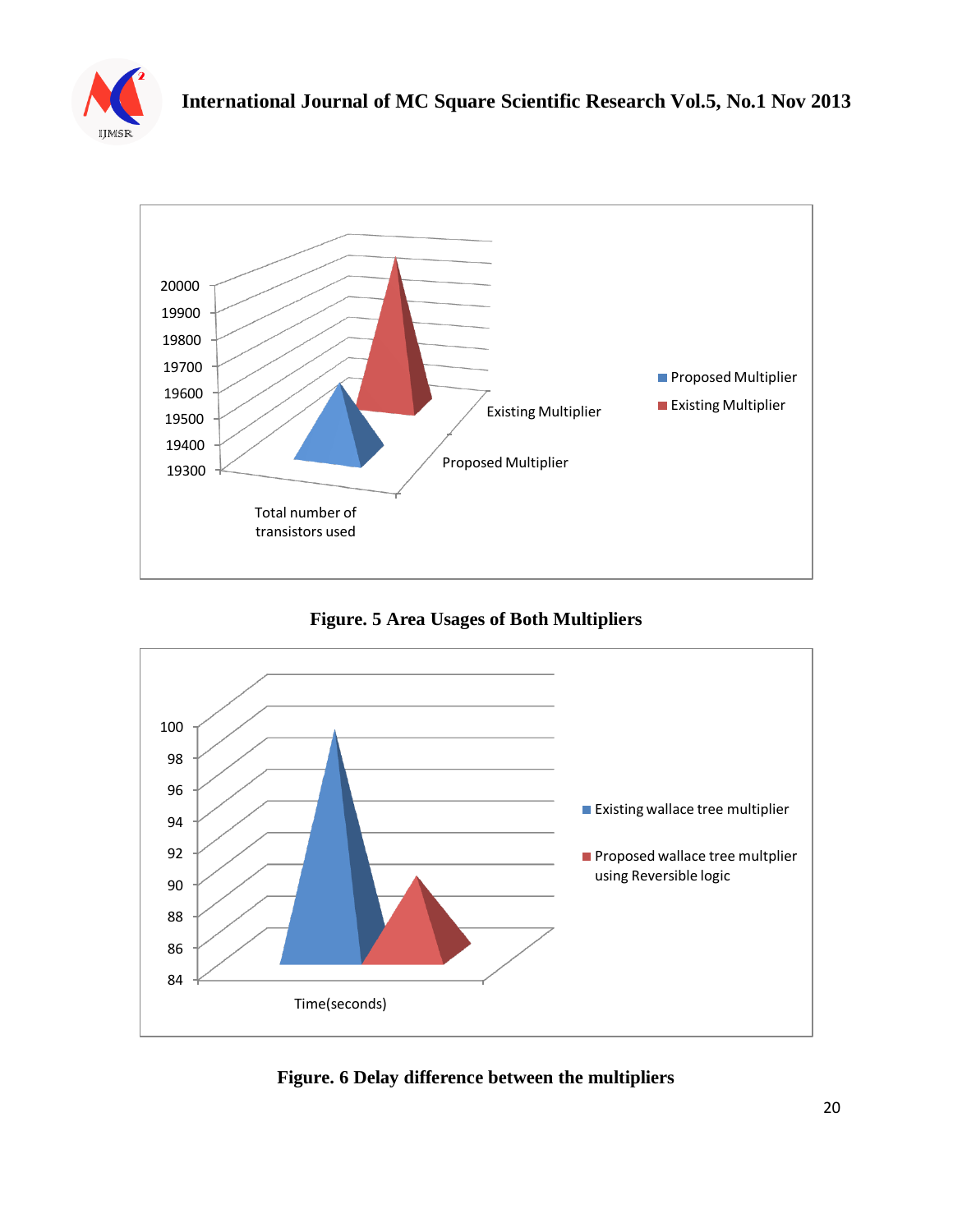



**Figure. 5 Area Usages of Both Multipliers**



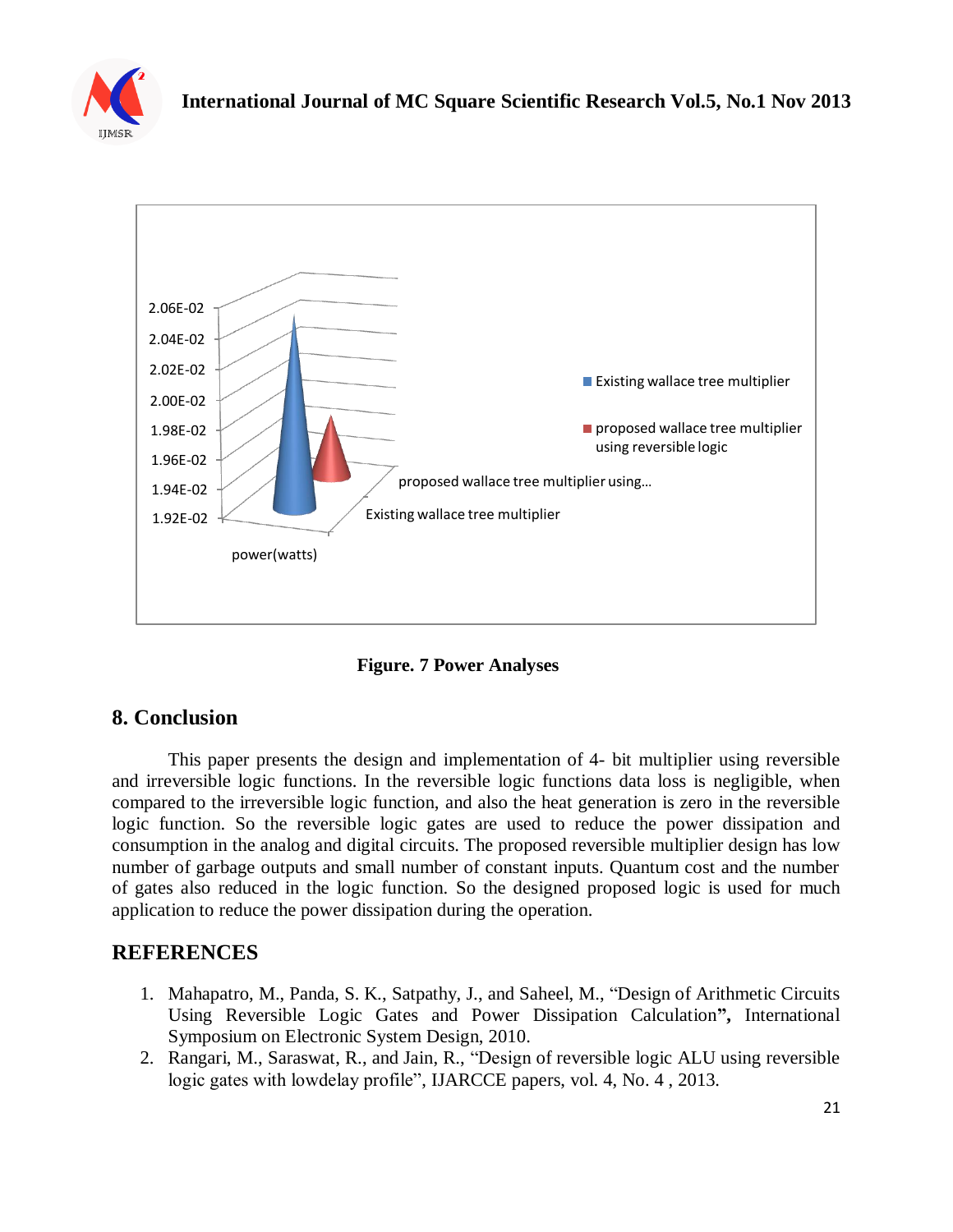



**Figure. 7 Power Analyses**

## **8. Conclusion**

This paper presents the design and implementation of 4- bit multiplier using reversible and irreversible logic functions. In the reversible logic functions data loss is negligible, when compared to the irreversible logic function, and also the heat generation is zero in the reversible logic function. So the reversible logic gates are used to reduce the power dissipation and consumption in the analog and digital circuits. The proposed reversible multiplier design has low number of garbage outputs and small number of constant inputs. Quantum cost and the number of gates also reduced in the logic function. So the designed proposed logic is used for much application to reduce the power dissipation during the operation.

## **REFERENCES**

- 1. Mahapatro, M., Panda, S. K., Satpathy, J., and Saheel, M., "Design of Arithmetic Circuits Using Reversible Logic Gates and Power Dissipation Calculation**",** International Symposium on Electronic System Design, 2010.
- 2. Rangari, M., Saraswat, R., and Jain, R., "Design of reversible logic ALU using reversible logic gates with lowdelay profile", IJARCCE papers, vol. 4, No. 4 , 2013.